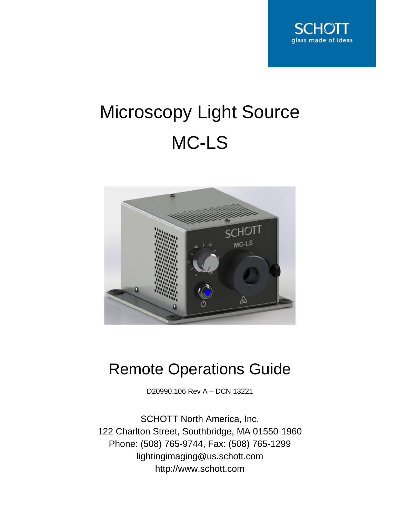

# Microscopy Light Source MC-LS



# Remote Operations Guide

D20990.106 Rev A – DCN 13221

SCHOTT North America, Inc. 122 Charlton Street, Southbridge, MA 01550-1960 Phone: (508) 765-9744, Fax: (508) 765-1299 lightingimaging@us.schott.com http://www.schott.com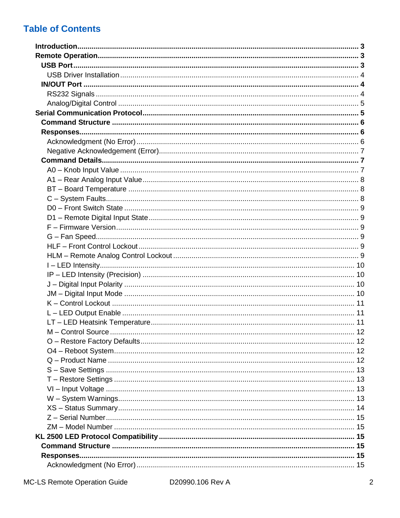# **Table of Contents**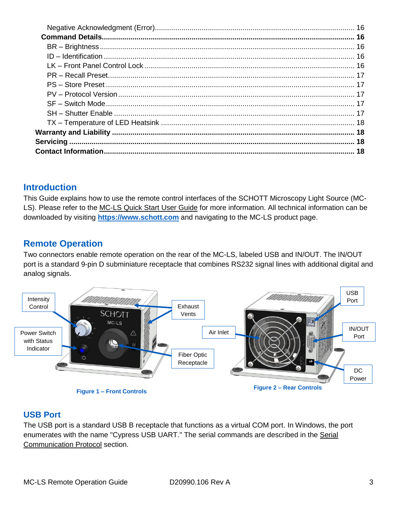# <span id="page-2-0"></span>**Introduction**

This Guide explains how to use the remote control interfaces of the SCHOTT Microscopy Light Source (MC-LS). Please refer to the MC-LS Quick Start User Guide for more information. All technical information can be downloaded by visiting **[https://www.schott.com](https://www.us.schott.com/lightingimaging)** and navigating to the MC-LS product page.

# <span id="page-2-1"></span>**Remote Operation**

Two connectors enable remote operation on the rear of the MC-LS, labeled USB and IN/OUT. The IN/OUT port is a standard 9-pin D subminiature receptacle that combines RS232 signal lines with additional digital and analog signals.



# <span id="page-2-2"></span>**USB Port**

The USB port is a standard USB B receptacle that functions as a virtual COM port. In Windows, the port enumerates with the name "Cypress USB UART." The serial commands are described in the Serial [Communication Protocol](#page-4-1) section.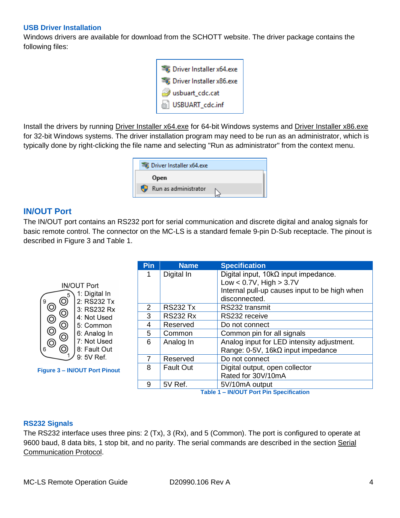#### <span id="page-3-0"></span>**USB Driver Installation**

Windows drivers are available for download from the SCHOTT website. The driver package contains the following files:



Install the drivers by running Driver Installer x64.exe for 64-bit Windows systems and Driver Installer x86.exe for 32-bit Windows systems. The driver installation program may need to be run as an administrator, which is typically done by right-clicking the file name and selecting "Run as administrator" from the context menu.



#### <span id="page-3-1"></span>**IN/OUT Port**

The IN/OUT port contains an RS232 port for serial communication and discrete digital and analog signals for basic remote control. The connector on the MC-LS is a standard female 9-pin D-Sub receptacle. The pinout is described in [Figure 3](#page-3-3) and [Table 1.](#page-3-4)

|                                                 | Pin | <b>Name</b>      | <b>Specification</b>                          |
|-------------------------------------------------|-----|------------------|-----------------------------------------------|
|                                                 |     | Digital In       | Digital input, $10k\Omega$ input impedance.   |
| <b>IN/OUT Port</b>                              |     |                  | Low < $0.7V$ , High > $3.7V$                  |
| 1: Digital In                                   |     |                  | Internal pull-up causes input to be high when |
| $\circledcirc$<br>2: RS232 Tx<br>9              |     |                  | disconnected.                                 |
| $\circledcirc$<br>3: RS232 Rx                   | 2   | <b>RS232 Tx</b>  | RS232 transmit                                |
| $\circledcirc$<br>$\circledcirc$<br>4: Not Used | 3   | <b>RS232 Rx</b>  | RS232 receive                                 |
| ◎<br>5: Common                                  | 4   | Reserved         | Do not connect                                |
| $\circledcirc$<br>6: Analog In                  | 5   | Common           | Common pin for all signals                    |
| $\circledcirc$<br>$\circledcirc$<br>7: Not Used | 6   | Analog In        | Analog input for LED intensity adjustment.    |
| $\circledcirc$<br>8: Fault Out<br>6             |     |                  | Range: $0-5V$ , 16k $\Omega$ input impedance  |
| 9: 5V Ref.                                      | 7   | Reserved         | Do not connect                                |
| <b>Figure 3 - IN/OUT Port Pinout</b>            | 8   | <b>Fault Out</b> | Digital output, open collector                |
|                                                 |     |                  | Rated for 30V/10mA                            |
|                                                 | 9   | 5V Ref.          | 5V/10mA output                                |
|                                                 |     |                  | Table 1 - IN/OUT Port Pin Specification       |

#### <span id="page-3-4"></span><span id="page-3-3"></span><span id="page-3-2"></span>**RS232 Signals**

The RS232 interface uses three pins: 2 (Tx), 3 (Rx), and 5 (Common). The port is configured to operate at 9600 baud, 8 data bits, 1 stop bit, and no parity. The serial commands are described in the section [Serial](#page-4-1)  [Communication Protocol.](#page-4-1)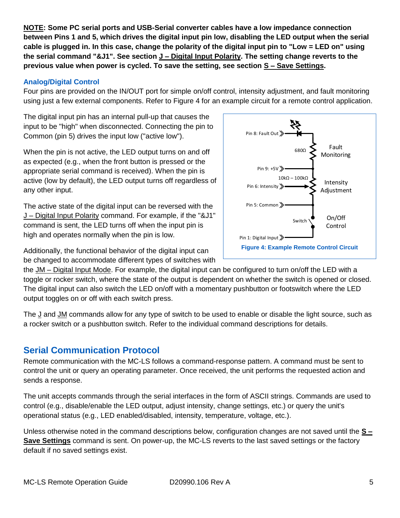**NOTE: Some PC serial ports and USB-Serial converter cables have a low impedance connection between Pins 1 and 5, which drives the digital input pin low, disabling the LED output when the serial cable is plugged in. In this case, change the polarity of the digital input pin to "Low = LED on" using the serial command "&J1". See section J – [Digital Input Polarity.](#page-9-2) The setting change reverts to the previous value when power is cycled. To save the setting, see section S – [Save Settings.](#page-12-0)**

#### <span id="page-4-0"></span>**Analog/Digital Control**

Four pins are provided on the IN/OUT port for simple on/off control, intensity adjustment, and fault monitoring using just a few external components. Refer to [Figure 4](#page-4-2) for an example circuit for a remote control application.

The digital input pin has an internal pull-up that causes the input to be "high" when disconnected. Connecting the pin to Common (pin 5) drives the input low ("active low").

When the pin is not active, the LED output turns on and off as expected (e.g., when the front button is pressed or the appropriate serial command is received). When the pin is active (low by default), the LED output turns off regardless of any other input.

The active state of the digital input can be reversed with the J – [Digital Input Polarity](#page-9-2) command. For example, if the "&J1" command is sent, the LED turns off when the input pin is high and operates normally when the pin is low.

<span id="page-4-2"></span>10kΩ – 100kΩ Pin 9: +5V > Pin 5: Common > Pin 6: Intensity > Intensity Adjustment Switch Pin 1: Digital Input » On/Off Control Fault Monitoring 680Ω Pin 8: Fault Out >> **Figure 4: Example Remote Control Circuit**

Additionally, the functional behavior of the digital input can be changed to accommodate different types of switches with

the JM – [Digital Input Mode.](#page-9-3) For example, the digital input can be configured to turn on/off the LED with a toggle or rocker switch, where the state of the output is dependent on whether the switch is opened or closed. The digital input can also switch the LED on/off with a momentary pushbutton or footswitch where the LED output toggles on or off with each switch press.

The J and JM commands allow for any type of switch to be used to enable or disable the light source, such as a rocker switch or a pushbutton switch. Refer to the individual command descriptions for details.

# <span id="page-4-1"></span>**Serial Communication Protocol**

Remote communication with the MC-LS follows a command-response pattern. A command must be sent to control the unit or query an operating parameter. Once received, the unit performs the requested action and sends a response.

The unit accepts commands through the serial interfaces in the form of ASCII strings. Commands are used to control (e.g., disable/enable the LED output, adjust intensity, change settings, etc.) or query the unit's operational status (e.g., LED enabled/disabled, intensity, temperature, voltage, etc.).

Unless otherwise noted in the command descriptions below, configuration changes are not saved until the **[S –](#page-12-0) [Save Settings](#page-12-0)** command is sent. On power-up, the MC-LS reverts to the last saved settings or the factory default if no saved settings exist.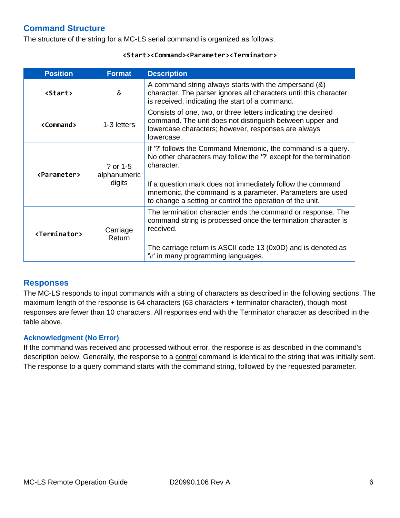# <span id="page-5-0"></span>**Command Structure**

The structure of the string for a MC-LS serial command is organized as follows:

| <b>Position</b>           | <b>Format</b>                      | <b>Description</b>                                                                                                                                                                                                                                                         |
|---------------------------|------------------------------------|----------------------------------------------------------------------------------------------------------------------------------------------------------------------------------------------------------------------------------------------------------------------------|
| <b><start></start></b>    | &                                  | A command string always starts with the ampersand (&)<br>character. The parser ignores all characters until this character<br>is received, indicating the start of a command.                                                                                              |
| <command/>                | 1-3 letters                        | Consists of one, two, or three letters indicating the desired<br>command. The unit does not distinguish between upper and<br>lowercase characters; however, responses are always<br>lowercase.                                                                             |
| <parameter></parameter>   | ? or 1-5<br>alphanumeric<br>digits | If '?' follows the Command Mnemonic, the command is a query.<br>No other characters may follow the '?' except for the termination<br>character.<br>If a question mark does not immediately follow the command<br>mnemonic, the command is a parameter. Parameters are used |
|                           |                                    | to change a setting or control the operation of the unit.                                                                                                                                                                                                                  |
| <terminator></terminator> | Carriage<br>Return                 | The termination character ends the command or response. The<br>command string is processed once the termination character is<br>received.<br>The carriage return is ASCII code 13 (0x0D) and is denoted as                                                                 |
|                           |                                    | '\r' in many programming languages.                                                                                                                                                                                                                                        |

#### **<Start><Command><Parameter><Terminator>**

# <span id="page-5-1"></span>**Responses**

The MC-LS responds to input commands with a string of characters as described in the following sections. The maximum length of the response is 64 characters (63 characters + terminator character), though most responses are fewer than 10 characters. All responses end with the Terminator character as described in the table above.

#### <span id="page-5-2"></span>**Acknowledgment (No Error)**

If the command was received and processed without error, the response is as described in the command's description below. Generally, the response to a control command is identical to the string that was initially sent. The response to a query command starts with the command string, followed by the requested parameter.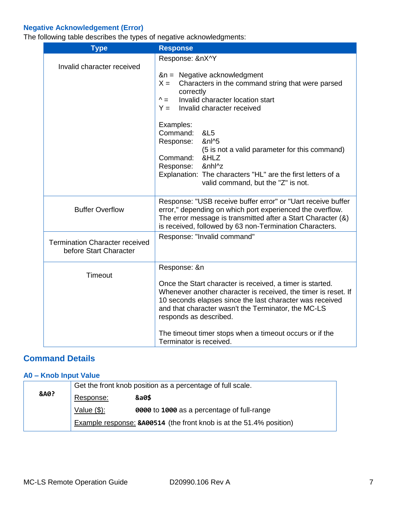# <span id="page-6-0"></span>**Negative Acknowledgement (Error)**

The following table describes the types of negative acknowledgments:

| <b>Type</b>                                                     | <b>Response</b>                                                                                                                                                                                                                                                                                                                                                                                                                                                                          |
|-----------------------------------------------------------------|------------------------------------------------------------------------------------------------------------------------------------------------------------------------------------------------------------------------------------------------------------------------------------------------------------------------------------------------------------------------------------------------------------------------------------------------------------------------------------------|
| Invalid character received                                      | Response: &nX^Y<br>&n = Negative acknowledgment<br>$X =$<br>Characters in the command string that were parsed<br>correctly<br>Invalid character location start<br>$^{\wedge}$ =<br>Invalid character received<br>$Y =$<br>Examples:<br>Command:<br><b>&amp;L5</b><br>Response:<br>&nl^5<br>(5 is not a valid parameter for this command)<br>Command:<br>&HLZ<br>&nhl^z<br>Response:<br>Explanation: The characters "HL" are the first letters of a<br>valid command, but the "Z" is not. |
| <b>Buffer Overflow</b>                                          | Response: "USB receive buffer error" or "Uart receive buffer<br>error," depending on which port experienced the overflow.<br>The error message is transmitted after a Start Character (&)<br>is received, followed by 63 non-Termination Characters.                                                                                                                                                                                                                                     |
| <b>Termination Character received</b><br>before Start Character | Response: "Invalid command"                                                                                                                                                                                                                                                                                                                                                                                                                                                              |
| Timeout                                                         | Response: &n<br>Once the Start character is received, a timer is started.<br>Whenever another character is received, the timer is reset. If<br>10 seconds elapses since the last character was received<br>and that character wasn't the Terminator, the MC-LS<br>responds as described.<br>The timeout timer stops when a timeout occurs or if the<br>Terminator is received.                                                                                                           |

# <span id="page-6-1"></span>**Command Details**

#### <span id="page-6-2"></span>**A0 – Knob Input Value**

|                 | Get the front knob position as a percentage of full scale. |                                                                     |
|-----------------|------------------------------------------------------------|---------------------------------------------------------------------|
| <b>&amp;A0?</b> | Response:                                                  | &a0\$                                                               |
|                 | Value $(\$)$ :                                             | 0000 to 1000 as a percentage of full-range                          |
|                 |                                                            | Example response: 8A00514 (the front knob is at the 51.4% position) |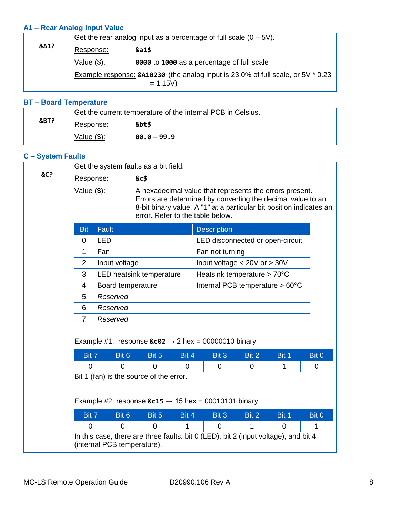# <span id="page-7-0"></span>**A1 – Rear Analog Input Value**

|                 | Get the rear analog input as a percentage of full scale $(0 - 5V)$ .                          |                                            |  |  |
|-----------------|-----------------------------------------------------------------------------------------------|--------------------------------------------|--|--|
| <b>&amp;A1?</b> | Response:                                                                                     | &a1\$                                      |  |  |
|                 | Value $(\$)$ :                                                                                | 0000 to 1000 as a percentage of full scale |  |  |
|                 | Example response: 8A10230 (the analog input is 23.0% of full scale, or 5V * 0.23<br>$= 1.15V$ |                                            |  |  |

# <span id="page-7-1"></span>**BT – Board Temperature**

|      | Get the current temperature of the internal PCB in Celsius. |              |  |
|------|-------------------------------------------------------------|--------------|--|
| &BT? | Response:                                                   | &bt\$        |  |
|      | Value $(\$)$ :                                              | $0.0 - 99.9$ |  |

# <span id="page-7-2"></span>**C – System Faults**

|     |                                                                                                                                          | Get the system faults as a bit field.                                                                              |                                                                                                                                                                                                                                   |       |                                  |       |       |       |
|-----|------------------------------------------------------------------------------------------------------------------------------------------|--------------------------------------------------------------------------------------------------------------------|-----------------------------------------------------------------------------------------------------------------------------------------------------------------------------------------------------------------------------------|-------|----------------------------------|-------|-------|-------|
| &C? | Response:                                                                                                                                |                                                                                                                    | &c\$                                                                                                                                                                                                                              |       |                                  |       |       |       |
|     | Value ( \$):                                                                                                                             |                                                                                                                    | A hexadecimal value that represents the errors present.<br>Errors are determined by converting the decimal value to an<br>8-bit binary value. A "1" at a particular bit position indicates an<br>error. Refer to the table below. |       |                                  |       |       |       |
|     | <b>Bit</b>                                                                                                                               | <b>Fault</b>                                                                                                       |                                                                                                                                                                                                                                   |       | <b>Description</b>               |       |       |       |
|     | $\mathbf 0$                                                                                                                              | <b>LED</b>                                                                                                         |                                                                                                                                                                                                                                   |       | LED disconnected or open-circuit |       |       |       |
|     | 1                                                                                                                                        | Fan                                                                                                                |                                                                                                                                                                                                                                   |       | Fan not turning                  |       |       |       |
|     | 2                                                                                                                                        | Input voltage                                                                                                      |                                                                                                                                                                                                                                   |       | Input voltage $< 20V$ or $> 30V$ |       |       |       |
|     | 3                                                                                                                                        |                                                                                                                    | LED heatsink temperature                                                                                                                                                                                                          |       | Heatsink temperature > 70°C      |       |       |       |
|     | 4                                                                                                                                        | Board temperature                                                                                                  |                                                                                                                                                                                                                                   |       | Internal PCB temperature > 60°C  |       |       |       |
|     | 5                                                                                                                                        | Reserved                                                                                                           |                                                                                                                                                                                                                                   |       |                                  |       |       |       |
|     | 6                                                                                                                                        | Reserved                                                                                                           |                                                                                                                                                                                                                                   |       |                                  |       |       |       |
|     | $\overline{7}$                                                                                                                           | Reserved                                                                                                           |                                                                                                                                                                                                                                   |       |                                  |       |       |       |
|     | Example #1: response $\&c02 \rightarrow 2$ hex = 00000010 binary<br>Bit 3<br>Bit 7<br>Bit 6<br>Bit 5<br>Bit 2<br>Bit 1<br>Bit 0<br>Bit 4 |                                                                                                                    |                                                                                                                                                                                                                                   |       |                                  |       |       |       |
|     | $\Omega$                                                                                                                                 | $\Omega$                                                                                                           | $\Omega$                                                                                                                                                                                                                          | 0     | 0                                | 0     | 1     | 0     |
|     |                                                                                                                                          | Bit 1 (fan) is the source of the error.<br>Example #2: response $&c15 \rightarrow 15$ hex = 00010101 binary        |                                                                                                                                                                                                                                   |       |                                  |       |       |       |
|     | Bit 7                                                                                                                                    | Bit 6                                                                                                              | Bit 5                                                                                                                                                                                                                             | Bit 4 | Bit 3                            | Bit 2 | Bit 1 | Bit 0 |
|     | 0                                                                                                                                        | $\Omega$                                                                                                           | $\overline{0}$                                                                                                                                                                                                                    | 1     | $\mathbf 0$                      | 1     | 0     | 1     |
|     |                                                                                                                                          | In this case, there are three faults: bit 0 (LED), bit 2 (input voltage), and bit 4<br>(internal PCB temperature). |                                                                                                                                                                                                                                   |       |                                  |       |       |       |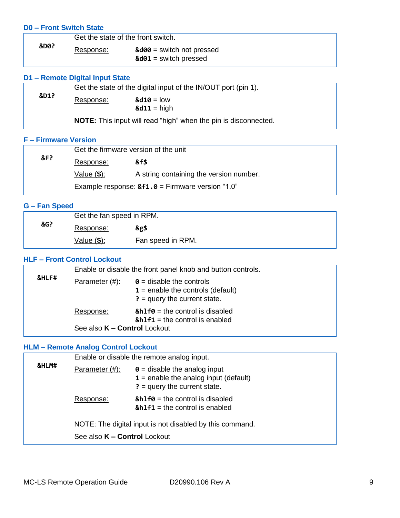#### <span id="page-8-0"></span>**D0 – Front Switch State**

|      | Get the state of the front switch. |                                                                            |
|------|------------------------------------|----------------------------------------------------------------------------|
| &D0? | Response:                          | $\&$ d $\theta$ = switch not pressed<br>$\&$ d $\theta$ 1 = switch pressed |
|      |                                    |                                                                            |

#### <span id="page-8-1"></span>**D1 – Remote Digital Input State**

|      | Get the state of the digital input of the IN/OUT port (pin 1). |                                                                        |  |
|------|----------------------------------------------------------------|------------------------------------------------------------------------|--|
| &D1? | Response:                                                      | $\&$ d10 = low                                                         |  |
|      |                                                                | $&d11 = high$                                                          |  |
|      |                                                                | <b>NOTE:</b> This input will read "high" when the pin is disconnected. |  |

#### <span id="page-8-2"></span>**F – Firmware Version**

|     | Get the firmware version of the unit               |                                         |  |  |
|-----|----------------------------------------------------|-----------------------------------------|--|--|
| &F? | Response:                                          | &f\$                                    |  |  |
|     | Value $(\$)$ :                                     | A string containing the version number. |  |  |
|     | Example response: $&f1.0 =$ Firmware version "1.0" |                                         |  |  |

#### <span id="page-8-3"></span>**G – Fan Speed**

|     | Get the fan speed in RPM. |                   |  |
|-----|---------------------------|-------------------|--|
| &G? | Response:                 | &g\$              |  |
|     | Value $(\$)$ :            | Fan speed in RPM. |  |

#### <span id="page-8-4"></span>**HLF – Front Control Lockout**

|       | Enable or disable the front panel knob and button controls. |                                                                                                          |  |
|-------|-------------------------------------------------------------|----------------------------------------------------------------------------------------------------------|--|
| &HLF# | Parameter $(\#)$ :                                          | $\theta$ = disable the controls<br>$1$ = enable the controls (default)<br>$? =$ query the current state. |  |
|       | Response:<br>See also K - Control Lockout                   | $8h1f0 =$ the control is disabled<br>$8h1f1$ = the control is enabled                                    |  |

# <span id="page-8-5"></span>**HLM – Remote Analog Control Lockout**

|       | Enable or disable the remote analog input. |                                                                                                                  |
|-------|--------------------------------------------|------------------------------------------------------------------------------------------------------------------|
| &HLM# | Parameter (#):                             | $\theta$ = disable the analog input<br>$1$ = enable the analog input (default)<br>$? = query$ the current state. |
|       | Response:                                  | $8h1f0 =$ the control is disabled<br>$8h1f1$ = the control is enabled                                            |
|       | See also K - Control Lockout               | NOTE: The digital input is not disabled by this command.                                                         |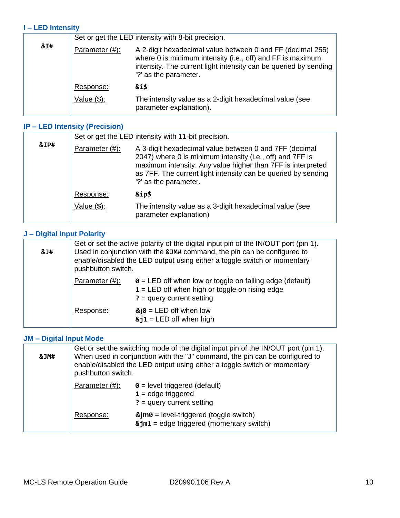#### <span id="page-9-0"></span>**I – LED Intensity**

|     | Set or get the LED intensity with 8-bit precision. |                                                                                                                                                                                                                       |  |
|-----|----------------------------------------------------|-----------------------------------------------------------------------------------------------------------------------------------------------------------------------------------------------------------------------|--|
| &I# | Parameter (#):                                     | A 2-digit hexadecimal value between 0 and FF (decimal 255)<br>where 0 is minimum intensity (i.e., off) and FF is maximum<br>intensity. The current light intensity can be queried by sending<br>'?' as the parameter. |  |
|     | Response:                                          | &i\$                                                                                                                                                                                                                  |  |
|     | Value $(\$)$ :                                     | The intensity value as a 2-digit hexadecimal value (see<br>parameter explanation).                                                                                                                                    |  |

#### <span id="page-9-1"></span>**IP – LED Intensity (Precision)**

|      | Set or get the LED intensity with 11-bit precision. |                                                                                                                                                                                                                                                                              |  |
|------|-----------------------------------------------------|------------------------------------------------------------------------------------------------------------------------------------------------------------------------------------------------------------------------------------------------------------------------------|--|
| &IP# | Parameter (#):                                      | A 3-digit hexadecimal value between 0 and 7FF (decimal<br>2047) where 0 is minimum intensity (i.e., off) and 7FF is<br>maximum intensity. Any value higher than 7FF is interpreted<br>as 7FF. The current light intensity can be queried by sending<br>'?' as the parameter. |  |
|      | Response:                                           | &ip\$                                                                                                                                                                                                                                                                        |  |
|      | Value $(\$)$ :                                      | The intensity value as a 3-digit hexadecimal value (see<br>parameter explanation)                                                                                                                                                                                            |  |

#### <span id="page-9-2"></span>**J – Digital Input Polarity**

| & J# | Get or set the active polarity of the digital input pin of the IN/OUT port (pin 1).<br>Used in conjunction with the &JM# command, the pin can be configured to<br>enable/disabled the LED output using either a toggle switch or momentary<br>pushbutton switch. |                                                                                                                                                    |  |
|------|------------------------------------------------------------------------------------------------------------------------------------------------------------------------------------------------------------------------------------------------------------------|----------------------------------------------------------------------------------------------------------------------------------------------------|--|
|      | Parameter (#):                                                                                                                                                                                                                                                   | $\theta$ = LED off when low or toggle on falling edge (default)<br>$1 = LED$ off when high or toggle on rising edge<br>$? = query current setting$ |  |
|      | Response:                                                                                                                                                                                                                                                        | $\&$ j $\theta$ = LED off when low<br>$8j1$ = LED off when high                                                                                    |  |

# <span id="page-9-3"></span>**JM – Digital Input Mode**

| &JM# | Get or set the switching mode of the digital input pin of the IN/OUT port (pin 1).<br>When used in conjunction with the "J" command, the pin can be configured to<br>enable/disabled the LED output using either a toggle switch or momentary<br>pushbutton switch. |                                                                                                          |  |
|------|---------------------------------------------------------------------------------------------------------------------------------------------------------------------------------------------------------------------------------------------------------------------|----------------------------------------------------------------------------------------------------------|--|
|      | Parameter (#):                                                                                                                                                                                                                                                      | $\theta$ = level triggered (default)<br>$1 =$ edge triggered<br>$? = query current setting$              |  |
|      | Response:                                                                                                                                                                                                                                                           | $\&$ jm0 = level-triggered (toggle switch)<br>$\texttt{Ajm1} = \text{edge triggered (momentary switch)}$ |  |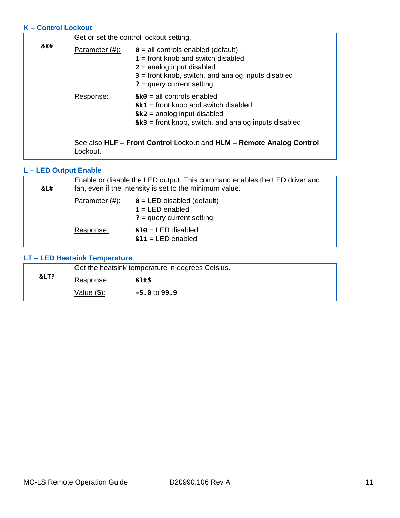#### <span id="page-10-0"></span>**K – Control Lockout**

|     |                | Get or set the control lockout setting.                                                                                                                                                                 |  |  |
|-----|----------------|---------------------------------------------------------------------------------------------------------------------------------------------------------------------------------------------------------|--|--|
| &K# | Parameter (#): | $\theta$ = all controls enabled (default)<br>$1 =$ front knob and switch disabled<br>$2 =$ analog input disabled<br>$3 =$ front knob, switch, and analog inputs disabled<br>$? = query current setting$ |  |  |
|     | Response:      | $&6 =$ all controls enabled<br>$&k1$ = front knob and switch disabled<br>$& k2$ = analog input disabled<br>$& k3 =$ front knob, switch, and analog inputs disabled                                      |  |  |
|     | _ockout.       | See also HLF - Front Control Lockout and HLM - Remote Analog Control                                                                                                                                    |  |  |

# <span id="page-10-1"></span>**L – LED Output Enable**

| &L# | Enable or disable the LED output. This command enables the LED driver and<br>fan, even if the intensity is set to the minimum value. |                                                                                       |
|-----|--------------------------------------------------------------------------------------------------------------------------------------|---------------------------------------------------------------------------------------|
|     | Parameter $(\#)$ :                                                                                                                   | $\theta$ = LED disabled (default)<br>$1 = LED$ enabled<br>$? = query current setting$ |
|     | Response:                                                                                                                            | $&10 = LED$ disabled<br>$&11 = LED$ enabled                                           |

#### <span id="page-10-2"></span>**LT – LED Heatsink Temperature**

|    | Get the heatsink temperature in degrees Celsius. |               |  |
|----|--------------------------------------------------|---------------|--|
| <? | Response:                                        | <b>&lt;\$</b> |  |
|    | Value $(\$)$ :                                   | $-5.01099.9$  |  |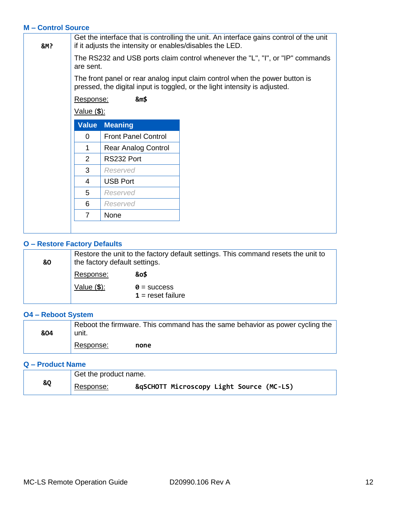#### <span id="page-11-0"></span>**M – Control Source**

| <b>&amp;M?</b> |                    | Get the interface that is controlling the unit. An interface gains control of the unit<br>if it adjusts the intensity or enables/disables the LED. |                                                                                                                                                           |  |
|----------------|--------------------|----------------------------------------------------------------------------------------------------------------------------------------------------|-----------------------------------------------------------------------------------------------------------------------------------------------------------|--|
|                | are sent.          |                                                                                                                                                    | The RS232 and USB ports claim control whenever the "L", "I", or "IP" commands                                                                             |  |
|                |                    |                                                                                                                                                    | The front panel or rear analog input claim control when the power button is<br>pressed, the digital input is toggled, or the light intensity is adjusted. |  |
|                | Response:          | &m\$                                                                                                                                               |                                                                                                                                                           |  |
|                | <u>Value (\$):</u> |                                                                                                                                                    |                                                                                                                                                           |  |
|                | <b>Value</b>       | <b>Meaning</b>                                                                                                                                     |                                                                                                                                                           |  |
|                | $\Omega$           | <b>Front Panel Control</b>                                                                                                                         |                                                                                                                                                           |  |
|                | 1                  | Rear Analog Control                                                                                                                                |                                                                                                                                                           |  |
|                | 2                  | RS232 Port                                                                                                                                         |                                                                                                                                                           |  |
|                | 3                  | Reserved                                                                                                                                           |                                                                                                                                                           |  |
|                | 4                  | <b>USB Port</b>                                                                                                                                    |                                                                                                                                                           |  |
|                | 5                  | Reserved                                                                                                                                           |                                                                                                                                                           |  |
|                | 6                  | Reserved                                                                                                                                           |                                                                                                                                                           |  |
|                | $\overline{7}$     | None                                                                                                                                               |                                                                                                                                                           |  |
|                |                    |                                                                                                                                                    |                                                                                                                                                           |  |

#### <span id="page-11-1"></span>**O – Restore Factory Defaults**

| 80 | Restore the unit to the factory default settings. This command resets the unit to<br>the factory default settings. |                                           |  |
|----|--------------------------------------------------------------------------------------------------------------------|-------------------------------------------|--|
|    | Response:                                                                                                          | &0\$                                      |  |
|    | Value $(\$)$ :                                                                                                     | $\theta$ = success<br>$1 =$ reset failure |  |

<u> 1989 - Johann Barn, mars ann an t-Amhain an t-Amhain an t-Amhain an t-Amhain an t-Amhain an t-Amhain an t-A</u>

#### <span id="page-11-2"></span>**O4 – Reboot System**

| &04 | Reboot the firmware. This command has the same behavior as power cycling the<br>unit. |      |  |
|-----|---------------------------------------------------------------------------------------|------|--|
|     | Response:                                                                             | none |  |

#### <span id="page-11-3"></span>**Q – Product Name**

|    |           | Get the product name.                    |  |  |
|----|-----------|------------------------------------------|--|--|
| &Q | Response: | &qSCHOTT Microscopy Light Source (MC-LS) |  |  |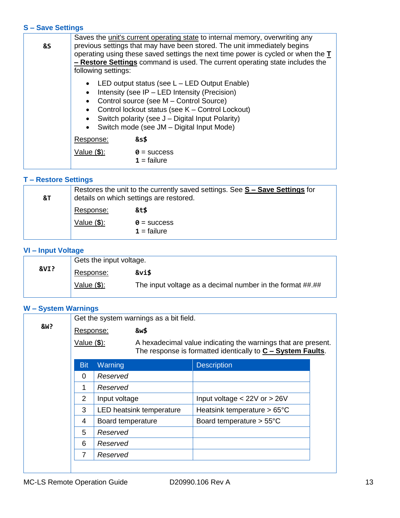#### <span id="page-12-0"></span>**S – Save Settings**

| <b>&amp;S</b> | Saves the unit's current operating state to internal memory, overwriting any<br>previous settings that may have been stored. The unit immediately begins<br>operating using these saved settings the next time power is cycled or when the T<br>- Restore Settings command is used. The current operating state includes the<br>following settings: |                                                                                                                                                                                                                                                                                                      |
|---------------|-----------------------------------------------------------------------------------------------------------------------------------------------------------------------------------------------------------------------------------------------------------------------------------------------------------------------------------------------------|------------------------------------------------------------------------------------------------------------------------------------------------------------------------------------------------------------------------------------------------------------------------------------------------------|
|               | $\bullet$<br>$\bullet$<br>$\bullet$                                                                                                                                                                                                                                                                                                                 | LED output status (see $L - LED$ Output Enable)<br>Intensity (see IP – LED Intensity (Precision)<br>Control source (see M – Control Source)<br>• Control lockout status (see K - Control Lockout)<br>Switch polarity (see J - Digital Input Polarity)<br>• Switch mode (see JM - Digital Input Mode) |
|               | Response:                                                                                                                                                                                                                                                                                                                                           | &s\$                                                                                                                                                                                                                                                                                                 |
|               | Value $(\$)$ :                                                                                                                                                                                                                                                                                                                                      | $\theta$ = success<br>$1 =$ failure                                                                                                                                                                                                                                                                  |

#### <span id="page-12-1"></span>**T – Restore Settings**

| <b>&amp;T</b> | Restores the unit to the currently saved settings. See S - Save Settings for<br>details on which settings are restored. |                                     |
|---------------|-------------------------------------------------------------------------------------------------------------------------|-------------------------------------|
|               | Response:                                                                                                               | &t\$                                |
|               | Value $(\$)$ :                                                                                                          | $\theta$ = success<br>$1 =$ failure |

# <span id="page-12-2"></span>**VI – Input Voltage**

|      | Gets the input voltage. |                                                           |  |
|------|-------------------------|-----------------------------------------------------------|--|
| &VI? | Response:               | &vi\$                                                     |  |
|      | Value $(\$)$ :          | The input voltage as a decimal number in the format ##.## |  |

# <span id="page-12-3"></span>**W – System Warnings**

|                |                                                 |                   | Get the system warnings as a bit field. |                                                                                                                                |  |
|----------------|-------------------------------------------------|-------------------|-----------------------------------------|--------------------------------------------------------------------------------------------------------------------------------|--|
| <b>&amp;W?</b> | Response:<br>Value ( \$):                       |                   | &w\$                                    |                                                                                                                                |  |
|                |                                                 |                   |                                         | A hexadecimal value indicating the warnings that are present.<br>The response is formatted identically to $C - System$ Faults. |  |
|                | <b>Bit</b>                                      | Warning           |                                         | <b>Description</b>                                                                                                             |  |
|                | 0                                               | Reserved          |                                         |                                                                                                                                |  |
|                | 1                                               | Reserved          |                                         |                                                                                                                                |  |
|                | $\overline{2}$                                  | Input voltage     |                                         | Input voltage $<$ 22V or $>$ 26V                                                                                               |  |
|                | 3                                               |                   | LED heatsink temperature                | Heatsink temperature $> 65^{\circ}$ C                                                                                          |  |
|                | 4                                               | Board temperature |                                         | Board temperature $> 55^{\circ}$ C                                                                                             |  |
|                | 5<br>Reserved<br>6<br>Reserved<br>7<br>Reserved |                   |                                         |                                                                                                                                |  |
|                |                                                 |                   |                                         |                                                                                                                                |  |
|                |                                                 |                   |                                         |                                                                                                                                |  |
|                |                                                 |                   |                                         |                                                                                                                                |  |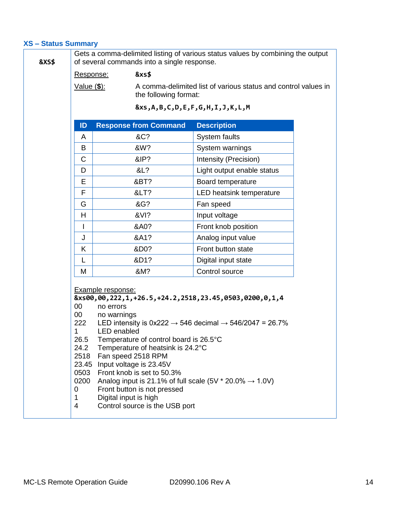#### <span id="page-13-0"></span>**XS – Status Summary**

| <b>&amp;XS\$</b> |                                                                                      | of several commands into a single response.                                                                                                                                                                                                                                                                                                                                                                                                                          | Gets a comma-delimited listing of various status values by combining the output         |  |  |
|------------------|--------------------------------------------------------------------------------------|----------------------------------------------------------------------------------------------------------------------------------------------------------------------------------------------------------------------------------------------------------------------------------------------------------------------------------------------------------------------------------------------------------------------------------------------------------------------|-----------------------------------------------------------------------------------------|--|--|
|                  | Response:                                                                            | <b>&amp;xs\$</b>                                                                                                                                                                                                                                                                                                                                                                                                                                                     |                                                                                         |  |  |
|                  | Value ( \$):                                                                         |                                                                                                                                                                                                                                                                                                                                                                                                                                                                      | A comma-delimited list of various status and control values in<br>the following format: |  |  |
|                  |                                                                                      |                                                                                                                                                                                                                                                                                                                                                                                                                                                                      | $&x, A, B, C, D, E, F, G, H, I, J, K, L, M$                                             |  |  |
|                  | ID                                                                                   | <b>Response from Command</b>                                                                                                                                                                                                                                                                                                                                                                                                                                         | <b>Description</b>                                                                      |  |  |
|                  | A                                                                                    | &C?                                                                                                                                                                                                                                                                                                                                                                                                                                                                  | System faults                                                                           |  |  |
|                  | B                                                                                    | &W?                                                                                                                                                                                                                                                                                                                                                                                                                                                                  | System warnings                                                                         |  |  |
|                  | C                                                                                    | &IP?                                                                                                                                                                                                                                                                                                                                                                                                                                                                 | Intensity (Precision)                                                                   |  |  |
|                  | D                                                                                    | &L?                                                                                                                                                                                                                                                                                                                                                                                                                                                                  | Light output enable status                                                              |  |  |
|                  | Е                                                                                    | &BT?                                                                                                                                                                                                                                                                                                                                                                                                                                                                 | Board temperature                                                                       |  |  |
|                  | F                                                                                    | <?                                                                                                                                                                                                                                                                                                                                                                                                                                                                   | LED heatsink temperature                                                                |  |  |
|                  | G                                                                                    | &G?                                                                                                                                                                                                                                                                                                                                                                                                                                                                  | Fan speed                                                                               |  |  |
|                  | H                                                                                    | &VI?                                                                                                                                                                                                                                                                                                                                                                                                                                                                 | Input voltage                                                                           |  |  |
|                  | I                                                                                    | &A0?                                                                                                                                                                                                                                                                                                                                                                                                                                                                 | Front knob position                                                                     |  |  |
|                  | J                                                                                    | &A1?                                                                                                                                                                                                                                                                                                                                                                                                                                                                 | Analog input value                                                                      |  |  |
|                  | K                                                                                    | &D0?                                                                                                                                                                                                                                                                                                                                                                                                                                                                 | Front button state                                                                      |  |  |
|                  | L                                                                                    | &D1?                                                                                                                                                                                                                                                                                                                                                                                                                                                                 | Digital input state                                                                     |  |  |
|                  | M                                                                                    | &M?                                                                                                                                                                                                                                                                                                                                                                                                                                                                  | Control source                                                                          |  |  |
|                  | 00<br>00<br>222<br>1<br>26.5<br>24.2<br>2518<br>23.45<br>0503<br>0200<br>0<br>1<br>4 | <b>Example response:</b><br>&xs00,00,222,1,+26.5,+24.2,2518,23.45,0503,0200,0,1,4<br>no errors<br>no warnings<br><b>LED</b> enabled<br>Temperature of control board is 26.5°C<br>Temperature of heatsink is 24.2°C<br>Fan speed 2518 RPM<br>Input voltage is 23.45V<br>Front knob is set to 50.3%<br>Analog input is 21.1% of full scale (5V $*$ 20.0% $\rightarrow$ 1.0V)<br>Front button is not pressed<br>Digital input is high<br>Control source is the USB port | LED intensity is $0x222 \rightarrow 546$ decimal $\rightarrow 546/2047 = 26.7\%$        |  |  |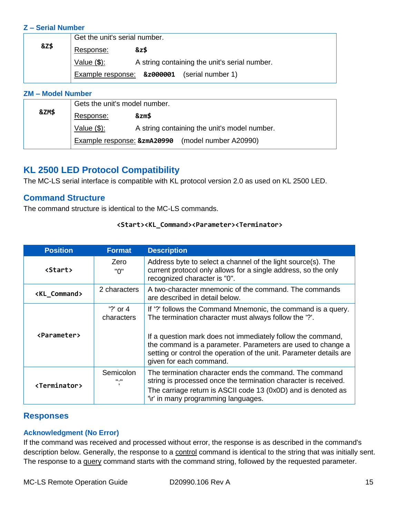#### <span id="page-14-0"></span>**Z – Serial Number**

|                 | Get the unit's serial number. |                                               |  |
|-----------------|-------------------------------|-----------------------------------------------|--|
| <b>&amp;Z\$</b> | Response:                     | &z\$                                          |  |
|                 | Value $(\$)$ :                | A string containing the unit's serial number. |  |
|                 |                               | Example response: &z000001 (serial number 1)  |  |

#### <span id="page-14-1"></span>**ZM – Model Number**

|       | Gets the unit's model number. |                                              |  |
|-------|-------------------------------|----------------------------------------------|--|
| &ZM\$ | Response:                     | &zm\$                                        |  |
|       | Value $(\$)$ :                | A string containing the unit's model number. |  |
|       | Example response: &zmA20990   | (model number A20990)                        |  |

# <span id="page-14-2"></span>**KL 2500 LED Protocol Compatibility**

The MC-LS serial interface is compatible with KL protocol version 2.0 as used on KL 2500 LED.

#### <span id="page-14-3"></span>**Command Structure**

The command structure is identical to the MC-LS commands.

#### **<Start><KL\_Command><Parameter><Terminator>**

| <b>Position</b>                       | <b>Format</b>             | <b>Description</b>                                                                                                                                                                                                                                                                                                                                    |
|---------------------------------------|---------------------------|-------------------------------------------------------------------------------------------------------------------------------------------------------------------------------------------------------------------------------------------------------------------------------------------------------------------------------------------------------|
| Zero<br><b><start></start></b><br>"በ" |                           | Address byte to select a channel of the light source(s). The<br>current protocol only allows for a single address, so the only<br>recognized character is "0".                                                                                                                                                                                        |
| <kl_command></kl_command>             | 2 characters              | A two-character mnemonic of the command. The commands<br>are described in detail below.                                                                                                                                                                                                                                                               |
| <parameter></parameter>               | $'$ ?' or 4<br>characters | If '?' follows the Command Mnemonic, the command is a query.<br>The termination character must always follow the '?'.<br>If a question mark does not immediately follow the command,<br>the command is a parameter. Parameters are used to change a<br>setting or control the operation of the unit. Parameter details are<br>given for each command. |
| <terminator></terminator>             | Semicolon<br><b>H.H</b>   | The termination character ends the command. The command<br>string is processed once the termination character is received.<br>The carriage return is ASCII code 13 (0x0D) and is denoted as<br>'\r' in many programming languages.                                                                                                                    |

#### <span id="page-14-4"></span>**Responses**

#### <span id="page-14-5"></span>**Acknowledgment (No Error)**

If the command was received and processed without error, the response is as described in the command's description below. Generally, the response to a control command is identical to the string that was initially sent. The response to a query command starts with the command string, followed by the requested parameter.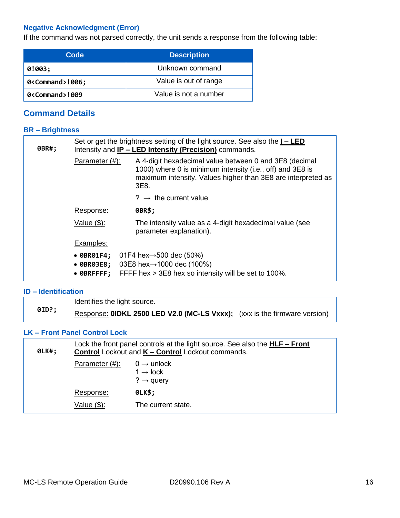# <span id="page-15-0"></span>**Negative Acknowledgment (Error)**

If the command was not parsed correctly, the unit sends a response from the following table:

| Code               | <b>Description</b>    |
|--------------------|-----------------------|
| 0!003;             | Unknown command       |
| 0 <command/> !006; | Value is out of range |
| 0 <command/> !009  | Value is not a number |

# <span id="page-15-1"></span>**Command Details**

#### <span id="page-15-2"></span>**BR – Brightness**

| 0BR#; | Set or get the brightness setting of the light source. See also the $I - LED$<br>Intensity and <b>IP - LED Intensity (Precision)</b> commands. |                                                                                                                                                                                             |  |
|-------|------------------------------------------------------------------------------------------------------------------------------------------------|---------------------------------------------------------------------------------------------------------------------------------------------------------------------------------------------|--|
|       | Parameter (#):                                                                                                                                 | A 4-digit hexadecimal value between 0 and 3E8 (decimal<br>1000) where 0 is minimum intensity (i.e., off) and 3E8 is<br>maximum intensity. Values higher than 3E8 are interpreted as<br>3E8. |  |
|       |                                                                                                                                                | $? \rightarrow$ the current value                                                                                                                                                           |  |
|       | Response:                                                                                                                                      | 0BR\$;                                                                                                                                                                                      |  |
|       | Value (\$):                                                                                                                                    | The intensity value as a 4-digit hexadecimal value (see<br>parameter explanation).                                                                                                          |  |
|       | Examples:                                                                                                                                      |                                                                                                                                                                                             |  |
|       | • 0BR03E8;<br>• ØBRFFFF;                                                                                                                       | • $\theta$ BR01F4; 01F4 hex $\rightarrow$ 500 dec (50%)<br>03E8 hex→1000 dec (100%)<br>FFFF hex > 3E8 hex so intensity will be set to 100%.                                                 |  |

#### <span id="page-15-3"></span>**ID – Identification**

| 0ID?; | Identifies the light source.                                                     |  |
|-------|----------------------------------------------------------------------------------|--|
|       | Response: <b>OIDKL 2500 LED V2.0 (MC-LS Vxxx);</b> (xxx is the firmware version) |  |

#### <span id="page-15-4"></span>**LK – Front Panel Control Lock**

| <b>OLK#;</b> | Lock the front panel controls at the light source. See also the <b>HLF – Front</b><br><b>Control Lockout and K - Control Lockout commands.</b> |                                                                         |
|--------------|------------------------------------------------------------------------------------------------------------------------------------------------|-------------------------------------------------------------------------|
|              | Parameter (#):                                                                                                                                 | $0 \rightarrow$ unlock<br>$1 \rightarrow$ lock<br>$? \rightarrow$ query |
|              | Response:                                                                                                                                      | <b>OLK\$;</b>                                                           |
|              | Value (\$):                                                                                                                                    | The current state.                                                      |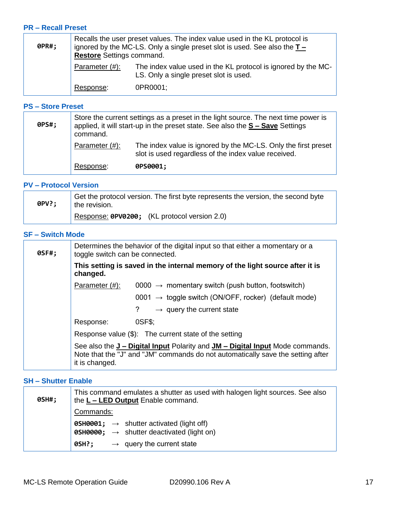#### <span id="page-16-0"></span>**PR – Recall Preset**

| 0PR#; | Recalls the user preset values. The index value used in the KL protocol is<br>ignored by the MC-LS. Only a single preset slot is used. See also the $T -$<br><b>Restore</b> Settings command. |                                                                                                         |
|-------|-----------------------------------------------------------------------------------------------------------------------------------------------------------------------------------------------|---------------------------------------------------------------------------------------------------------|
|       | Parameter $(\#)$ :                                                                                                                                                                            | The index value used in the KL protocol is ignored by the MC-<br>LS. Only a single preset slot is used. |
|       | Response:                                                                                                                                                                                     | 0PR0001:                                                                                                |

#### <span id="page-16-1"></span>**PS – Store Preset**

| 0PS#; | Store the current settings as a preset in the light source. The next time power is<br>applied, it will start-up in the preset state. See also the $S -$ Save Settings<br>command. |                                                                                                                        |
|-------|-----------------------------------------------------------------------------------------------------------------------------------------------------------------------------------|------------------------------------------------------------------------------------------------------------------------|
|       | Parameter $(\#)$ :                                                                                                                                                                | The index value is ignored by the MC-LS. Only the first preset<br>slot is used regardless of the index value received. |
|       | Response:                                                                                                                                                                         | 0PS0001;                                                                                                               |

#### <span id="page-16-2"></span>**PV – Protocol Version**

| 0PV?; | Get the protocol version. The first byte represents the version, the second byte<br>$\frac{1}{2}$ the revision. |  |
|-------|-----------------------------------------------------------------------------------------------------------------|--|
|       | Response: 0PV0200; (KL protocol version 2.0)                                                                    |  |

#### <span id="page-16-3"></span>**SF – Switch Mode**

| 0SF#; | Determines the behavior of the digital input so that either a momentary or a<br>toggle switch can be connected.                                                                                  |  |
|-------|--------------------------------------------------------------------------------------------------------------------------------------------------------------------------------------------------|--|
|       | This setting is saved in the internal memory of the light source after it is<br>changed.                                                                                                         |  |
|       | Parameter (#):<br>0000 $\rightarrow$ momentary switch (push button, footswitch)                                                                                                                  |  |
|       | 0001 $\rightarrow$ toggle switch (ON/OFF, rocker) (default mode)                                                                                                                                 |  |
|       | ?<br>$\rightarrow$ query the current state                                                                                                                                                       |  |
|       | OSF\$:<br>Response:                                                                                                                                                                              |  |
|       | Response value (\$): The current state of the setting                                                                                                                                            |  |
|       | See also the <b>J</b> - Digital Input Polarity and <b>JM</b> - Digital Input Mode commands.<br>Note that the "J" and "JM" commands do not automatically save the setting after<br>it is changed. |  |

#### <span id="page-16-4"></span>**SH – Shutter Enable**

| 0SH#; | This command emulates a shutter as used with halogen light sources. See also<br>the L - LED Output Enable command.          |  |
|-------|-----------------------------------------------------------------------------------------------------------------------------|--|
|       | Commands:                                                                                                                   |  |
|       | <b>0SH0001;</b> $\rightarrow$ shutter activated (light off)<br><b>0SH0000;</b> $\rightarrow$ shutter deactivated (light on) |  |
|       | $\rightarrow$ query the current state<br>0SH?;                                                                              |  |